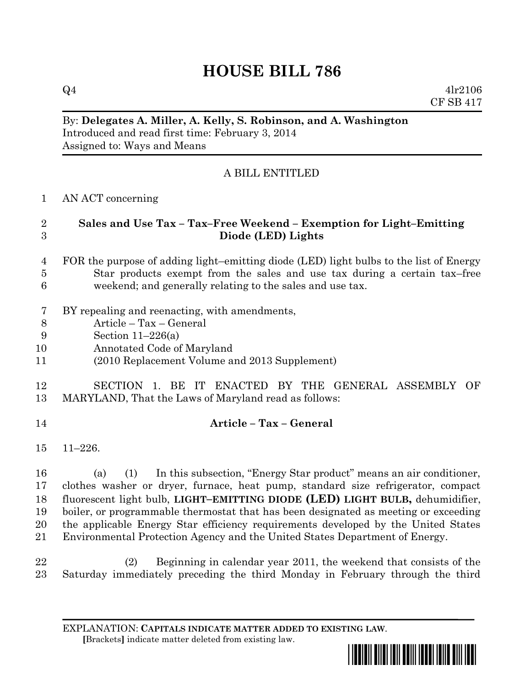# **HOUSE BILL 786**

 $Q4$  4lr2106 CF SB 417

#### By: **Delegates A. Miller, A. Kelly, S. Robinson, and A. Washington** Introduced and read first time: February 3, 2014 Assigned to: Ways and Means

# A BILL ENTITLED

#### AN ACT concerning

### **Sales and Use Tax – Tax–Free Weekend – Exemption for Light–Emitting Diode (LED) Lights**

#### FOR the purpose of adding light–emitting diode (LED) light bulbs to the list of Energy Star products exempt from the sales and use tax during a certain tax–free weekend; and generally relating to the sales and use tax.

- BY repealing and reenacting, with amendments,
- Article Tax General
- Section 11–226(a)
- Annotated Code of Maryland
- (2010 Replacement Volume and 2013 Supplement)

## SECTION 1. BE IT ENACTED BY THE GENERAL ASSEMBLY OF MARYLAND, That the Laws of Maryland read as follows:

### **Article – Tax – General**

11–226.

 (a) (1) In this subsection, "Energy Star product" means an air conditioner, clothes washer or dryer, furnace, heat pump, standard size refrigerator, compact fluorescent light bulb, **LIGHT–EMITTING DIODE (LED) LIGHT BULB,** dehumidifier, boiler, or programmable thermostat that has been designated as meeting or exceeding the applicable Energy Star efficiency requirements developed by the United States Environmental Protection Agency and the United States Department of Energy.

 (2) Beginning in calendar year 2011, the weekend that consists of the Saturday immediately preceding the third Monday in February through the third

EXPLANATION: **CAPITALS INDICATE MATTER ADDED TO EXISTING LAW**.  **[**Brackets**]** indicate matter deleted from existing law.